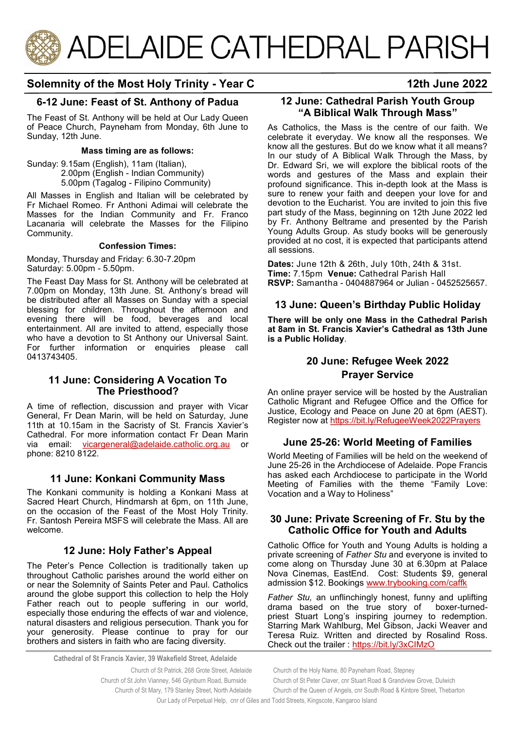

# **Solemnity of the Most Holy Trinity - Year C 12th June 2022**

# **6-12 June: Feast of St. Anthony of Padua**

The Feast of St. Anthony will be held at Our Lady Queen of Peace Church, Payneham from Monday, 6th June to Sunday, 12th June.

# **Mass timing are as follows:**

Sunday: 9.15am (English), 11am (Italian), 2.00pm (English - Indian Community) 5.00pm (Tagalog - Filipino Community)

All Masses in English and Italian will be celebrated by Fr Michael Romeo. Fr Anthoni Adimai will celebrate the Masses for the Indian Community and Fr. Franco Lacanaria will celebrate the Masses for the Filipino Community.

#### **Confession Times:**

Monday, Thursday and Friday: 6.30-7.20pm Saturday: 5.00pm - 5.50pm.

The Feast Day Mass for St. Anthony will be celebrated at 7.00pm on Monday, 13th June. St. Anthony's bread will be distributed after all Masses on Sunday with a special blessing for children. Throughout the afternoon and evening there will be food, beverages and local entertainment. All are invited to attend, especially those who have a devotion to St Anthony our Universal Saint. For further information or enquiries please call 0413743405.

## **11 June: Considering A Vocation To The Priesthood?**

A time of reflection, discussion and prayer with Vicar General, Fr Dean Marin, will be held on Saturday, June 11th at 10.15am in the Sacristy of St. Francis Xavier's Cathedral. For more information contact Fr Dean Marin via email: [vicargeneral@adelaide.catholic.org.au](mailto:vicargeneral@adelaide.catholic.org.au) or phone: 8210 8122.

# **11 June: Konkani Community Mass**

The Konkani community is holding a Konkani Mass at Sacred Heart Church, Hindmarsh at 6pm, on 11th June, on the occasion of the Feast of the Most Holy Trinity. Fr. Santosh Pereira MSFS will celebrate the Mass. All are welcome.

# **12 June: Holy Father's Appeal**

The Peter's Pence Collection is traditionally taken up throughout Catholic parishes around the world either on or near the Solemnity of Saints Peter and Paul. Catholics around the globe support this collection to help the Holy Father reach out to people suffering in our world, especially those enduring the effects of war and violence, natural disasters and religious persecution. Thank you for your generosity. Please continue to pray for our brothers and sisters in faith who are facing diversity.

**Cathedral of St Francis Xavier, 39 Wakefield Street, Adelaide**

Church of St Patrick, 268 Grote Street, Adelaide Church of the Holy Name, 80 Payneham Road, Stepney

#### **12 June: Cathedral Parish Youth Group "A Biblical Walk Through Mass"**

As Catholics, the Mass is the centre of our faith. We celebrate it everyday. We know all the responses. We know all the gestures. But do we know what it all means? In our study of A Biblical Walk Through the Mass, by Dr. Edward Sri, we will explore the biblical roots of the words and gestures of the Mass and explain their profound significance. This in-depth look at the Mass is sure to renew your faith and deepen your love for and devotion to the Eucharist. You are invited to join this five part study of the Mass, beginning on 12th June 2022 led by Fr. Anthony Beltrame and presented by the Parish Young Adults Group. As study books will be generously provided at no cost, it is expected that participants attend all sessions.

**Dates:** June 12th & 26th, July 10th, 24th & 31st. **Time:** 7.15pm **Venue:** Cathedral Parish Hall **RSVP:** Samantha - 0404887964 or Julian - 0452525657.

## **13 June: Queen's Birthday Public Holiday**

**There will be only one Mass in the Cathedral Parish at 8am in St. Francis Xavier's Cathedral as 13th June is a Public Holiday**.

# **20 June: Refugee Week 2022 Prayer Service**

An online prayer service will be hosted by the Australian Catholic Migrant and Refugee Office and the Office for Justice, Ecology and Peace on June 20 at 6pm (AEST). Register now at<https://bit.ly/RefugeeWeek2022Prayers>

## **June 25-26: World Meeting of Families**

World Meeting of Families will be held on the weekend of June 25-26 in the Archdiocese of Adelaide. Pope Francis has asked each Archdiocese to participate in the World Meeting of Families with the theme "Family Love: Vocation and a Way to Holiness"

# **30 June: Private Screening of Fr. Stu by the Catholic Office for Youth and Adults**

Catholic Office for Youth and Young Adults is holding a private screening of *Father Stu* and everyone is invited to come along on Thursday June 30 at 6.30pm at Palace Nova Cinemas, EastEnd. Cost: Students \$9, general admission \$12. Bookings [www.trybooking.com/caffk](https://www.trybooking.com/events/landing?eid=917472&)

*Father Stu,* an unflinchingly honest, funny and uplifting drama based on the true story of boxer-turnedpriest Stuart Long's inspiring journey to redemption. Starring Mark Wahlburg, Mel Gibson, Jacki Weaver and Teresa Ruiz. Written and directed by Rosalind Ross. Check out the trailer : <https://bit.ly/3xCIMzO>

Church of St Mary, 179 Stanley Street, North Adelaide Church of the Queen of Angels, cnr South Road & Kintore Street, Thebarton

Our Lady of Perpetual Help, cnr of Giles and Todd Streets, Kingscote, Kangaroo Island

Church of St John Vianney, 546 Glynburn Road, Burnside Church of St Peter Claver, cnr Stuart Road & Grandview Grove, Dulwich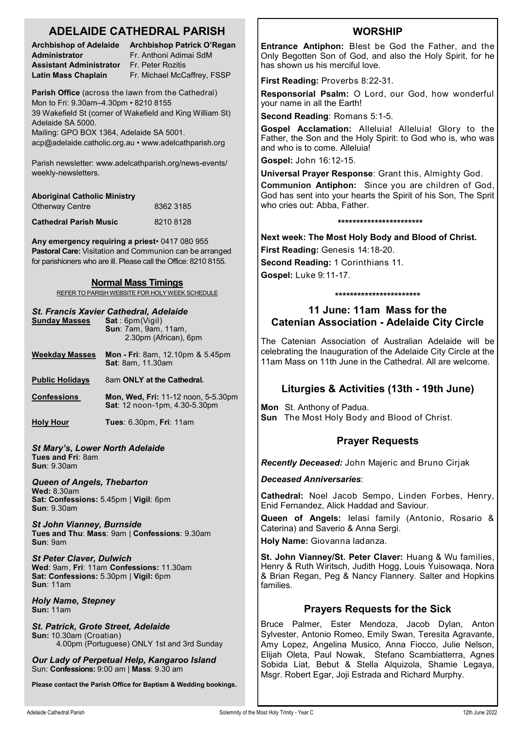# **ADELAIDE CATHEDRAL PARISH**

**Administrator** Fr. Anthoni Adimai SdM **Assistant Administrator** Fr. Peter Rozitis

**Archbishop of Adelaide Archbishop Patrick O'Regan Latin Mass Chaplain** Fr. Michael McCaffrey, FSSP

**Parish Office** (across the lawn from the Cathedral) Mon to Fri: 9.30am–4.30pm • 8210 8155 39 Wakefield St (corner of Wakefield and King William St) Adelaide SA 5000.

Mailing: GPO BOX 1364, Adelaide SA 5001. acp@adelaide.catholic.org.au • www.adelcathparish.org

Parish newsletter: www.adelcathparish.org/news-events/ weekly-newsletters.

| <b>Aboriginal Catholic Ministry</b> |           |
|-------------------------------------|-----------|
| <b>Otherway Centre</b>              | 8362 3185 |
| <b>Cathedral Parish Music</b>       | 82108128  |

**Any emergency requiring a priest**• 0417 080 955 **Pastoral Care:** Visitation and Communion can be arranged for parishioners who are ill. Please call the Office: 8210 8155.

#### **Normal Mass Timings**

REFER TO PARISH WEBSITE FOR HOLY WEEK SCHEDULE

#### *St. Francis Xavier Cathedral, Adelaide*

| <b>Sunday Masses</b>                                                              | Sat:6pm(Viqil)<br><b>Sun: 7am, 9am, 11am,</b><br>2.30pm (African), 6pm             |
|-----------------------------------------------------------------------------------|------------------------------------------------------------------------------------|
| <b>Weekday Masses</b>                                                             | <b>Mon - Fri</b> : 8am, 12.10pm & 5.45pm<br><b>Sat: 8am, 11.30am</b>               |
| <b>Public Holidays</b>                                                            | 8am ONLY at the Cathedral.                                                         |
| <b>Confessions</b>                                                                | <b>Mon, Wed, Fri: 11-12 noon, 5-5.30pm</b><br><b>Sat:</b> 12 noon-1pm, 4.30-5.30pm |
| <b>Holy Hour</b>                                                                  | <b>Tues: 6.30pm, Fri: 11am</b>                                                     |
| <b>St Mary's, Lower North Adelaide</b><br>Tues and Fri: 8am<br><b>Sun: 9.30am</b> |                                                                                    |

*Queen of Angels, Thebarton* **Wed:** 8.30am **Sat: Confessions:** 5.45pm | **Vigil**: 6pm **Sun**: 9.30am

*St John Vianney, Burnside* **Tues and Thu**: **Mass**: 9am | **Confessions**: 9.30am **Sun**: 9am

*St Peter Claver, Dulwich* **Wed**: 9am, **Fri**: 11am **Confessions:** 11.30am **Sat: Confessions:** 5.30pm | **Vigil:** 6pm **Sun**: 11am

*Holy Name, Stepney* **Sun:** 11am

*St. Patrick, Grote Street, Adelaide* **Sun:** 10.30am (Croatian) 4.00pm (Portuguese) ONLY 1st and 3rd Sunday

*Our Lady of Perpetual Help, Kangaroo Island* Sun: **Confessions:** 9:00 am | **Mass**: 9.30 am

**Please contact the Parish Office for Baptism & Wedding bookings.**

# **WORSHIP**

**Entrance Antiphon:** Blest be God the Father, and the Only Begotten Son of God, and also the Holy Spirit, for he has shown us his merciful love.

**First Reading:** Proverbs 8:22-31.

**Responsorial Psalm:** O Lord, our God, how wonderful your name in all the Earth!

**Second Reading**: Romans 5:1-5.

**Gospel Acclamation:** Alleluia! Alleluia! Glory to the Father, the Son and the Holy Spirit: to God who is, who was and who is to come. Alleluia!

**Gospel:** John 16:12-15.

**Universal Prayer Response**: Grant this, Almighty God. **Communion Antiphon:** Since you are children of God, God has sent into your hearts the Spirit of his Son, The Sprit who cries out: Abba, Father.

#### **\*\*\*\*\*\*\*\*\*\*\*\*\*\*\*\*\*\*\*\*\*\*\***

**Next week: The Most Holy Body and Blood of Christ.** 

**First Reading:** Genesis 14:18-20. **Second Reading:** 1 Corinthians 11.

**Gospel:** Luke 9:11-17.

#### **\*\*\*\*\*\*\*\*\*\*\*\*\*\*\*\*\*\*\*\*\*\*\***

# **11 June: 11am Mass for the Catenian Association - Adelaide City Circle**

The Catenian Association of Australian Adelaide will be celebrating the Inauguration of the Adelaide City Circle at the 11am Mass on 11th June in the Cathedral. All are welcome.

# **Liturgies & Activities (13th - 19th June)**

**Mon** St. Anthony of Padua. **Sun** The Most Holy Body and Blood of Christ.

# **Prayer Requests**

*Recently Deceased:* John Majeric and Bruno Cirjak

*Deceased Anniversaries*:

**Cathedral:** Noel Jacob Sempo, Linden Forbes, Henry, Enid Fernandez, Alick Haddad and Saviour.

**Queen of Angels:** Ielasi family (Antonio, Rosario & Caterina) and Saverio & Anna Sergi.

**Holy Name:** Giovanna Iadanza.

**St. John Vianney/St. Peter Claver:** Huang & Wu families, Henry & Ruth Wiritsch, Judith Hogg, Louis Yuisowaqa, Nora & Brian Regan, Peg & Nancy Flannery. Salter and Hopkins families.

# **Prayers Requests for the Sick**

Bruce Palmer, Ester Mendoza, Jacob Dylan, Anton Sylvester, Antonio Romeo, Emily Swan, Teresita Agravante, Amy Lopez, Angelina Musico, Anna Fiocco, Julie Nelson, Elijah Oleta, Paul Nowak, Stefano Scambiatterra, Agnes Sobida Liat, Bebut & Stella Alquizola, Shamie Legaya, Msgr. Robert Egar, Joji Estrada and Richard Murphy.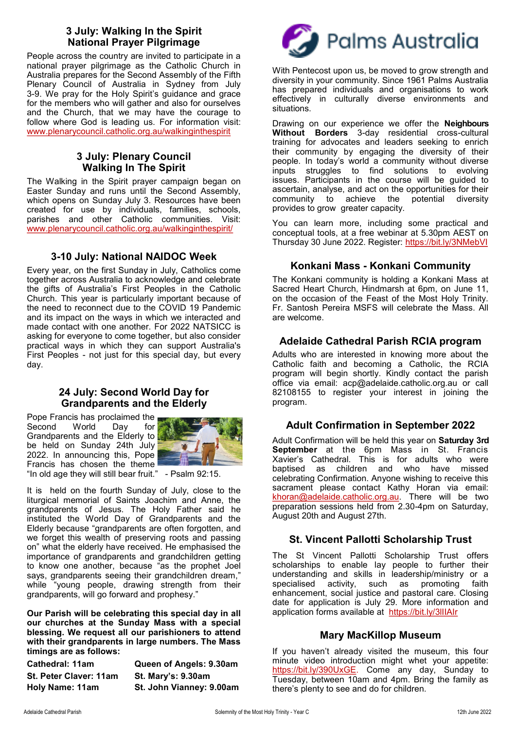# **3 July: Walking In the Spirit National Prayer Pilgrimage**

People across the country are invited to participate in a national prayer pilgrimage as the Catholic Church in Australia prepares for the Second Assembly of the Fifth Plenary Council of Australia in Sydney from July 3-9. We pray for the Holy Spirit's guidance and grace for the members who will gather and also for ourselves and the Church, that we may have the courage to follow where God is leading us. For information visit: [www.plenarycouncil.catholic.org.au/walkinginthespirit](http://www.plenarycouncil.catholic.org.au/walkinginthespirit)

# **3 July: Plenary Council Walking In The Spirit**

The Walking in the Spirit prayer campaign began on Easter Sunday and runs until the Second Assembly, which opens on Sunday July 3. Resources have been created for use by individuals, families, schools, parishes and other Catholic communities. Visit: [www.plenarycouncil.catholic.org.au/walkinginthespirit/](https://aus01.safelinks.protection.outlook.com/?url=http%3A%2F%2Fwww.plenarycouncil.catholic.org.au%2Fwalkinginthespirit%2F&data=04%7C01%7Cjbradshaw%40adelaide.catholic.org.au%7C84992dbcff244f546e4f08da16cc8598%7Cfe51d108d61d407cbcaaaab5af82a7ac%7C1%7C0%7C637)

# **3-10 July: National NAIDOC Week**

Every year, on the first Sunday in July, Catholics come together across Australia to acknowledge and celebrate the gifts of Australia's First Peoples in the Catholic Church. This year is particularly important because of the need to reconnect due to the COVID 19 Pandemic and its impact on the ways in which we interacted and made contact with one another. For 2022 NATSICC is asking for everyone to come together, but also consider practical ways in which they can support Australia's First Peoples - not just for this special day, but every day.

## **24 July: Second World Day for Grandparents and the Elderly**

Pope Francis has proclaimed the Second World Day for Grandparents and the Elderly to be held on Sunday 24th July 2022. In announcing this, Pope Francis has chosen the theme



"In old age they will still bear fruit." - Psalm 92:15.

It is held on the fourth Sunday of July, close to the liturgical memorial of Saints Joachim and Anne, the grandparents of Jesus. The Holy Father said he instituted the World Day of Grandparents and the Elderly because "grandparents are often forgotten, and we forget this wealth of preserving roots and passing on" what the elderly have received. He emphasised the importance of grandparents and grandchildren getting to know one another, because "as the prophet Joel says, grandparents seeing their grandchildren dream," while "young people, drawing strength from their grandparents, will go forward and prophesy."

**Our Parish will be celebrating this special day in all our churches at the Sunday Mass with a special blessing. We request all our parishioners to attend with their grandparents in large numbers. The Mass timings are as follows:**

**Cathedral: 11am Queen of Angels: 9.30am St. Peter Claver: 11am St. Mary's: 9.30am Holy Name: 11am St. John Vianney: 9.00am**



With Pentecost upon us, be moved to grow strength and diversity in your community. Since 1961 Palms Australia has prepared individuals and organisations to work effectively in culturally diverse environments and situations.

Drawing on our experience we offer the **[Neighbours](https://aus01.safelinks.protection.outlook.com/?url=https%3A%2F%2Fpalms.org.au%2Fneighbours-without-borders%2F&data=05%7C01%7Ccfernandez%40acp.adelaide.catholic.org.au%7C721743d533f344113b2a08da42cde160%7Cfe51d108d61d407cbcaaaab5af82a7ac%7C1%7C0%7C63789574925)  [Without Borders](https://aus01.safelinks.protection.outlook.com/?url=https%3A%2F%2Fpalms.org.au%2Fneighbours-without-borders%2F&data=05%7C01%7Ccfernandez%40acp.adelaide.catholic.org.au%7C721743d533f344113b2a08da42cde160%7Cfe51d108d61d407cbcaaaab5af82a7ac%7C1%7C0%7C63789574925)** 3-day residential cross-cultural training for advocates and leaders seeking to enrich their community by engaging the diversity of their people. In today's world a community without diverse inputs struggles to find solutions to evolving issues. Participants in the course will be guided to [ascertain, analyse, and act o](https://aus01.safelinks.protection.outlook.com/?url=https%3A%2F%2Fpalms.org.au%2Fneighbours-without-borders%2Fapproach-and-methodology%2F&data=05%7C01%7Ccfernandez%40acp.adelaide.catholic.org.au%7C721743d533f344113b2a08da42cde160%7Cfe51d108d61d407cbcaaaab5af8)n the opportunities for their community to achieve the potential diversity provides to grow greater capacity.

You can learn more, including some practical and conceptual tools, at a free webinar at 5.30pm AEST on Thursday 30 June 2022. Register: <https://bit.ly/3NMebVI>

# **Konkani Mass - Konkani Community**

The Konkani community is holding a Konkani Mass at Sacred Heart Church, Hindmarsh at 6pm, on June 11, on the occasion of the Feast of the Most Holy Trinity. Fr. Santosh Pereira MSFS will celebrate the Mass. All are welcome.

# **Adelaide Cathedral Parish RCIA program**

Adults who are interested in knowing more about the Catholic faith and becoming a Catholic, the RCIA program will begin shortly. Kindly contact the parish office via email: acp@adelaide.catholic.org.au or call 82108155 to register your interest in joining the program.

## **Adult Confirmation in September 2022**

Adult Confirmation will be held this year on **Saturday 3rd September** at the 6pm Mass in St. Francis Xavier's Cathedral. This is for adults who were baptised as children and who have missed celebrating Confirmation. Anyone wishing to receive this sacrament please contact Kathy Horan via email: [khoran@adelaide.catholic.org.au.](mailto:khoran@adelaide.catholic.org.au) There will be two preparation sessions held from 2.30-4pm on Saturday, August 20th and August 27th.

# **St. Vincent Pallotti Scholarship Trust**

The St Vincent Pallotti Scholarship Trust offers scholarships to enable lay people to further their understanding and skills in leadership/ministry or a specialised activity, such as promoting faith enhancement, social justice and pastoral care. Closing date for application is July 29. More information and application forms available at https://bit.ly/3lIIAIr

## **Mary MacKillop Museum**

If you haven't already visited the museum, this four minute video introduction might whet your appetite: [https://bit.ly/390UxGE.](https://bit.ly/390UxGE) Come any day, Sunday to Tuesday, between 10am and 4pm. Bring the family as there's plenty to see and do for children.